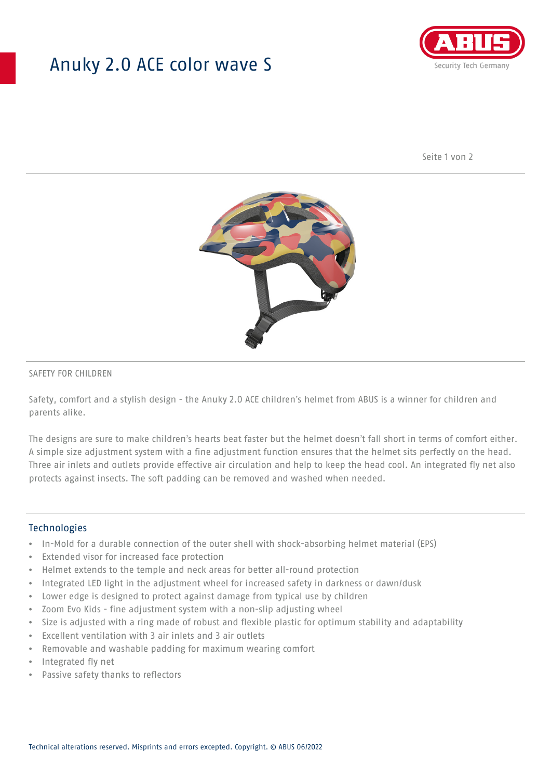# Anuky 2.0 ACE color wave S



Seite 1 von 2



### SAFETY FOR CHILDREN

Safety, comfort and a stylish design - the Anuky 2.0 ACE children's helmet from ABUS is a winner for children and parents alike.

The designs are sure to make children's hearts beat faster but the helmet doesn't fall short in terms of comfort either. A simple size adjustment system with a fine adjustment function ensures that the helmet sits perfectly on the head. Three air inlets and outlets provide effective air circulation and help to keep the head cool. An integrated fly net also protects against insects. The soft padding can be removed and washed when needed.

#### **Technologies**

- In-Mold for a durable connection of the outer shell with shock-absorbing helmet material (EPS)
- Extended visor for increased face protection
- Helmet extends to the temple and neck areas for better all-round protection
- Integrated LED light in the adjustment wheel for increased safety in darkness or dawn/dusk
- Lower edge is designed to protect against damage from typical use by children
- Zoom Evo Kids fine adjustment system with a non-slip adjusting wheel
- Size is adjusted with a ring made of robust and flexible plastic for optimum stability and adaptability
- Excellent ventilation with 3 air inlets and 3 air outlets
- Removable and washable padding for maximum wearing comfort
- Integrated fly net
- Passive safety thanks to reflectors